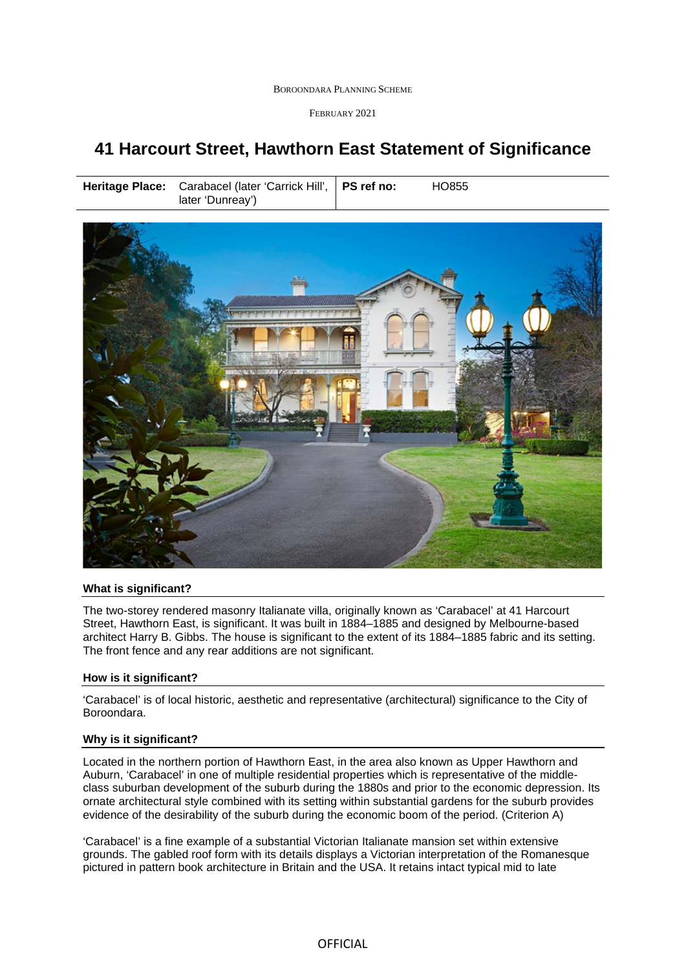BOROONDARA PLANNING SCHEME

FEBRUARY 2021

# **41 Harcourt Street, Hawthorn East Statement of Significance**

**Heritage Place:** Carabacel (later 'Carrick Hill', later 'Dunreay')





## **What is significant?**

The two-storey rendered masonry Italianate villa, originally known as 'Carabacel' at 41 Harcourt Street, Hawthorn East, is significant. It was built in 1884–1885 and designed by Melbourne-based architect Harry B. Gibbs. The house is significant to the extent of its 1884–1885 fabric and its setting. The front fence and any rear additions are not significant.

## **How is it significant?**

'Carabacel' is of local historic, aesthetic and representative (architectural) significance to the City of Boroondara.

## **Why is it significant?**

Located in the northern portion of Hawthorn East, in the area also known as Upper Hawthorn and Auburn, 'Carabacel' in one of multiple residential properties which is representative of the middleclass suburban development of the suburb during the 1880s and prior to the economic depression. Its ornate architectural style combined with its setting within substantial gardens for the suburb provides evidence of the desirability of the suburb during the economic boom of the period. (Criterion A)

'Carabacel' is a fine example of a substantial Victorian Italianate mansion set within extensive grounds. The gabled roof form with its details displays a Victorian interpretation of the Romanesque pictured in pattern book architecture in Britain and the USA. It retains intact typical mid to late